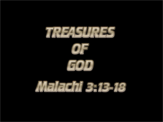





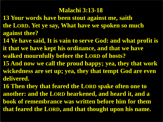#### **Malachi 3:13-18**

- **13 Your words have been stout against me, saith the LORD. Yet ye say, What have we spoken so much against thee?**
- **14 Ye have said, It is vain to serve God: and what profit is it that we have kept his ordinance, and that we have walked mournfully before the LORD of hosts?**
- **15 And now we call the proud happy; yea, they that work wickedness are set up; yea, they that tempt God are even delivered.**
- **16 Then they that feared the LORD spake often one to another: and the LORD hearkened, and heard it, and a book of remembrance was written before him for them that feared the LORD, and that thought upon his name.**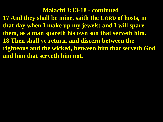**Malachi 3:13-18 - continued 17 And they shall be mine, saith the LORD of hosts, in that day when I make up my jewels; and I will spare them, as a man spareth his own son that serveth him. 18 Then shall ye return, and discern between the righteous and the wicked, between him that serveth God and him that serveth him not.**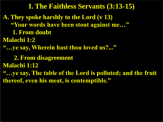- **A. They spoke harshly to the Lord (v 13)**
	- **"Your words have been stout against me…"**
	- **1. From doubt**
- **Malachi 1:2**
- **"…ye say, Wherein hast thou loved us?..."**

 **2. From disagreement**

**Malachi 1:12**

**"…ye say, The table of the Lord is polluted; and the fruit thereof, even his meat, is contemptible."**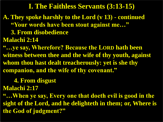- **A. They spoke harshly to the Lord (v 13) - continued "Your words have been stout against me…" 3. From disobedience**
- **Malachi 2:14**

**"…ye say, Wherefore? Because the LORD hath been witness between thee and the wife of thy youth, against whom thou hast dealt treacherously: yet is she thy companion, and the wife of thy covenant."**

# **4. From disgust**

**Malachi 2:17**

**"…When ye say, Every one that doeth evil is good in the sight of the Lord, and he delighteth in them; or, Where is the God of judgment?"**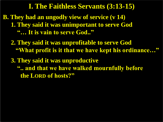- **B. They had an ungodly view of service (v 14) 1. They said it was unimportant to serve God "… It is vain to serve God.."** 
	- **2. They said it was unprofitable to serve God "What profit is it that we have kept his ordinance…"**
	- **3. They said it was unproductive ".. and that we have walked mournfully before the LORD of hosts?"**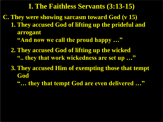- **C. They were showing sarcasm toward God (v 15) 1. They accused God of lifting up the prideful and arrogant** 
	- **"And now we call the proud happy …"**
	- **2. They accused God of lifting up the wicked ".. they that work wickedness are set up …"**
	- **3. They accused Him of exempting those that tempt God** 
		- **"… they that tempt God are even delivered …"**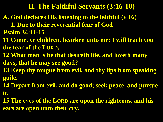- **A. God declares His listening to the faithful (v 16)**
- **1. Due to their reverential fear of God Psalm 34:11-15**
- **11 Come, ye children, hearken unto me: I will teach you the fear of the LORD.**
- **12 What man is he that desireth life, and loveth many**
- **days, that he may see good?**
- **13 Keep thy tongue from evil, and thy lips from speaking guile.**
- **14 Depart from evil, and do good; seek peace, and pursue it.**
- **15 The eyes of the LORD are upon the righteous, and his ears are open unto their cry.**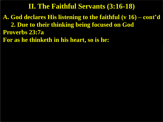**A. God declares His listening to the faithful (v 16) – cont'd 2. Due to their thinking being focused on God Proverbs 23:7a**

**For as he thinketh in his heart, so is he:**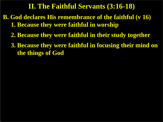- **B. God declares His remembrance of the faithful (v 16) 1. Because they were faithful in worship** 
	- **2. Because they were faithful in their study together**
	- **3. Because they were faithful in focusing their mind on the things of God**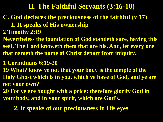# **C. God declares the preciousness of the faithful (v 17) 1. It speaks of His ownership**

- **2 Timothy 2:19**
- **Nevertheless the foundation of God standeth sure, having this seal, The Lord knoweth them that are his. And, let every one that nameth the name of Christ depart from iniquity.**

#### **1 Corinthians 6:19-20**

- **19 What? know ye not that your body is the temple of the Holy Ghost which is in you, which ye have of God, and ye are not your own?**
- **20 For ye are bought with a price: therefore glorify God in your body, and in your spirit, which are God's.**

 **2. It speaks of our preciousness in His eyes**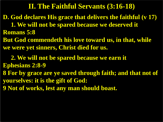**D. God declares His grace that delivers the faithful (v 17) 1. We will not be spared because we deserved it** 

**Romans 5:8**

**But God commendeth his love toward us, in that, while we were yet sinners, Christ died for us.**

 **2. We will not be spared because we earn it Ephesians 2:8-9**

**8 For by grace are ye saved through faith; and that not of yourselves: it is the gift of God:**

**9 Not of works, lest any man should boast.**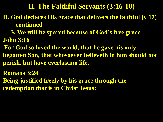- **D. God declares His grace that delivers the faithful (v 17) – continued**
- **3. We will be spared because of God's free grace John 3:16**
- **For God so loved the world, that he gave his only begotten Son, that whosoever believeth in him should not perish, but have everlasting life.**
- **Romans 3:24**
- **Being justified freely by his grace through the redemption that is in Christ Jesus:**